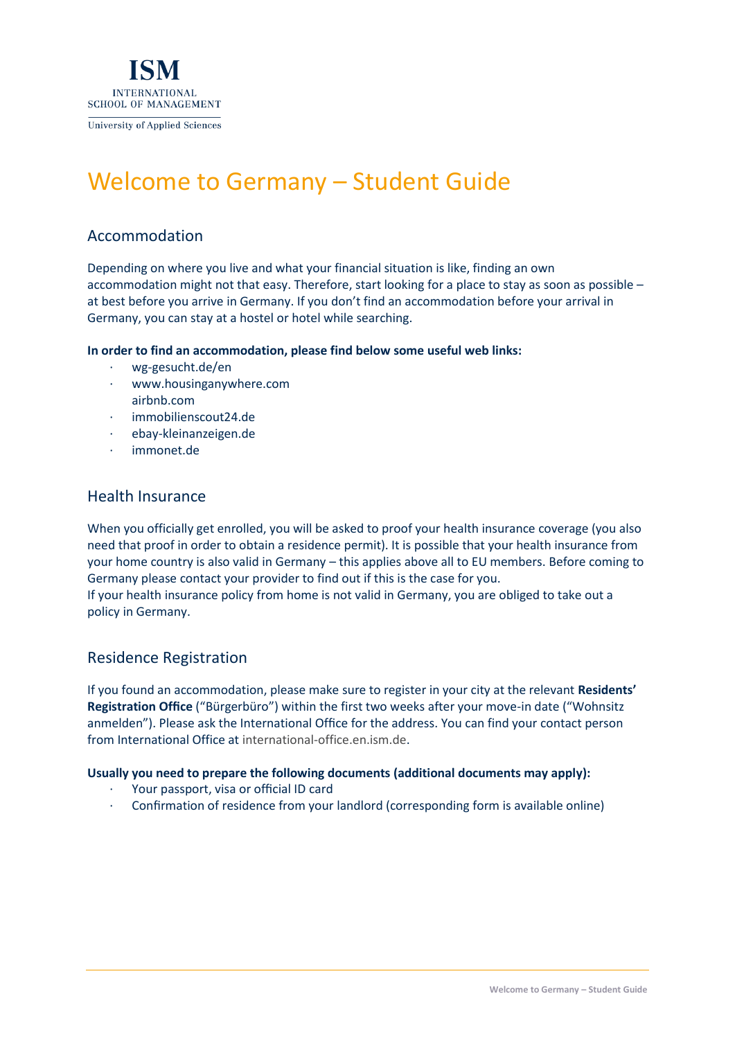

# Welcome to Germany – Student Guide

# Accommodation

Depending on where you live and what your financial situation is like, finding an own accommodation might not that easy. Therefore, start looking for a place to stay as soon as possible – at best before you arrive in Germany. If you don't find an accommodation before your arrival in Germany, you can stay at a hostel or hotel while searching.

**In order to find an accommodation, please find below some useful web links:**

- · wg-gesucht.de/en
- · [www.housinganywhere.com](https://housinganywhere.com/) airbnb.com
- · immobilienscout24.de
- · ebay-kleinanzeigen.de
- immonet.de

### Health Insurance

When you officially get enrolled, you will be asked to proof your health insurance coverage (you also need that proof in order to obtain a residence permit). It is possible that your health insurance from your home country is also valid in Germany – this applies above all to EU members. Before coming to Germany please contact your provider to find out if this is the case for you.

If your health insurance policy from home is not valid in Germany, you are obliged to take out a policy in Germany.

## Residence Registration

If you found an accommodation, please make sure to register in your city at the relevant **Residents' Registration Office** ("Bürgerbüro") within the first two weeks after your move-in date ("Wohnsitz anmelden"). Please ask the International Office for the address. You can find your contact person from International Office at [international-office.en.ism.de.](https://en.ism.de/services/international-office)

#### **Usually you need to prepare the following documents (additional documents may apply):**

- · Your passport, visa or official ID card
- · Confirmation of residence from your landlord (corresponding form is available online)